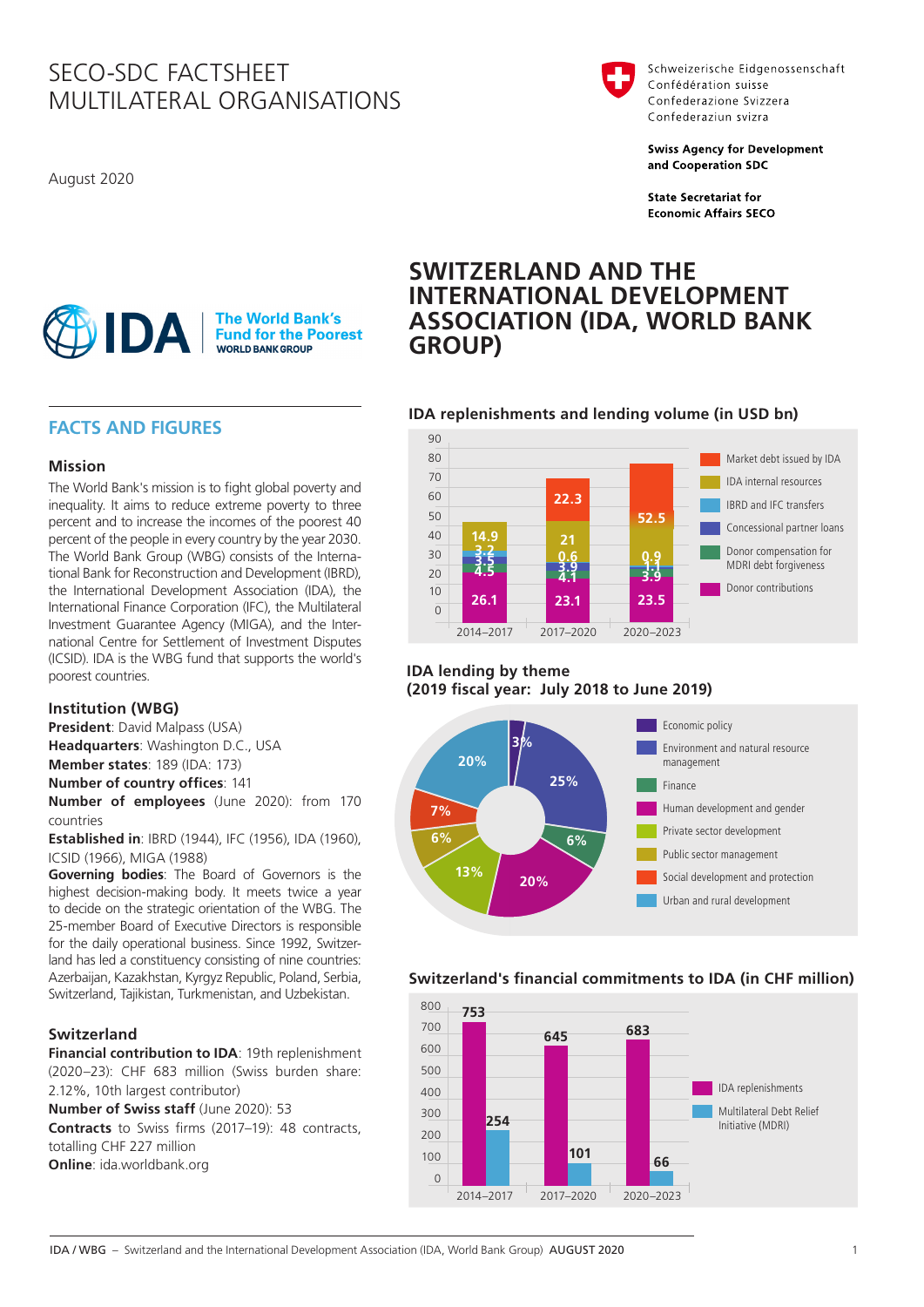# SECO-SDC FACTSHEET MULTILATERAL ORGANISATIONS

August 2020



Schweizerische Eidgenossenschaft Confédération suisse Confederazione Svizzera Confederaziun svizra

**Swiss Agency for Development** and Cooperation SDC

**State Secretariat for Economic Affairs SECO** 

#### **The World Bank's AJIDA Fund for the Poorest WORLD BANK GROUP**

# **FACTS AND FIGURES**

# **Mission**

The World Bank's mission is to fight global poverty and inequality. It aims to reduce extreme poverty to three percent and to increase the incomes of the poorest 40 percent of the people in every country by the year 2030. The World Bank Group (WBG) consists of the International Bank for Reconstruction and Development (IBRD), the International Development Association (IDA), the International Finance Corporation (IFC), the Multilateral Investment Guarantee Agency (MIGA), and the International Centre for Settlement of Investment Disputes (ICSID). IDA is the WBG fund that supports the world's poorest countries.

# **Institution (WBG)**

**President**: David Malpass (USA) **Headquarters**: Washington D.C., USA

**Member states**: 189 (IDA: 173)

**Number of country offices**: 141

**Number of employees** (June 2020): from 170 countries

**Established in**: IBRD (1944), IFC (1956), IDA (1960), ICSID (1966), MIGA (1988)

**Governing bodies**: The Board of Governors is the highest decision-making body. It meets twice a year to decide on the strategic orientation of the WBG. The 25-member Board of Executive Directors is responsible for the daily operational business. Since 1992, Switzerland has led a constituency consisting of nine countries: Azerbaijan, Kazakhstan, Kyrgyz Republic, Poland, Serbia, Switzerland, Tajikistan, Turkmenistan, and Uzbekistan.

# **Switzerland**

**Financial contribution to IDA**: 19th replenishment (2020–23): CHF 683 million (Swiss burden share: 2.12%, 10th largest contributor)

**Number of Swiss staff** (June 2020): 53

**Contracts** to Swiss firms (2017–19): 48 contracts, totalling CHF 227 million **Online**: [ida.worldbank.org](http://ida.worldbank.org)

# **SWITZERLAND AND THE INTERNATIONAL DEVELOPMENT ASSOCIATION (IDA, WORLD BANK GROUP)**

# **IDA replenishments and lending volume (in USD bn)**



# **IDA lending by theme (2019 fiscal year: July 2018 to June 2019)**



# **Switzerland's financial commitments to IDA (in CHF million)**



IDA / WBG – Switzerland and the International Development Association (IDA, World Bank Group) AUGUST 2020 1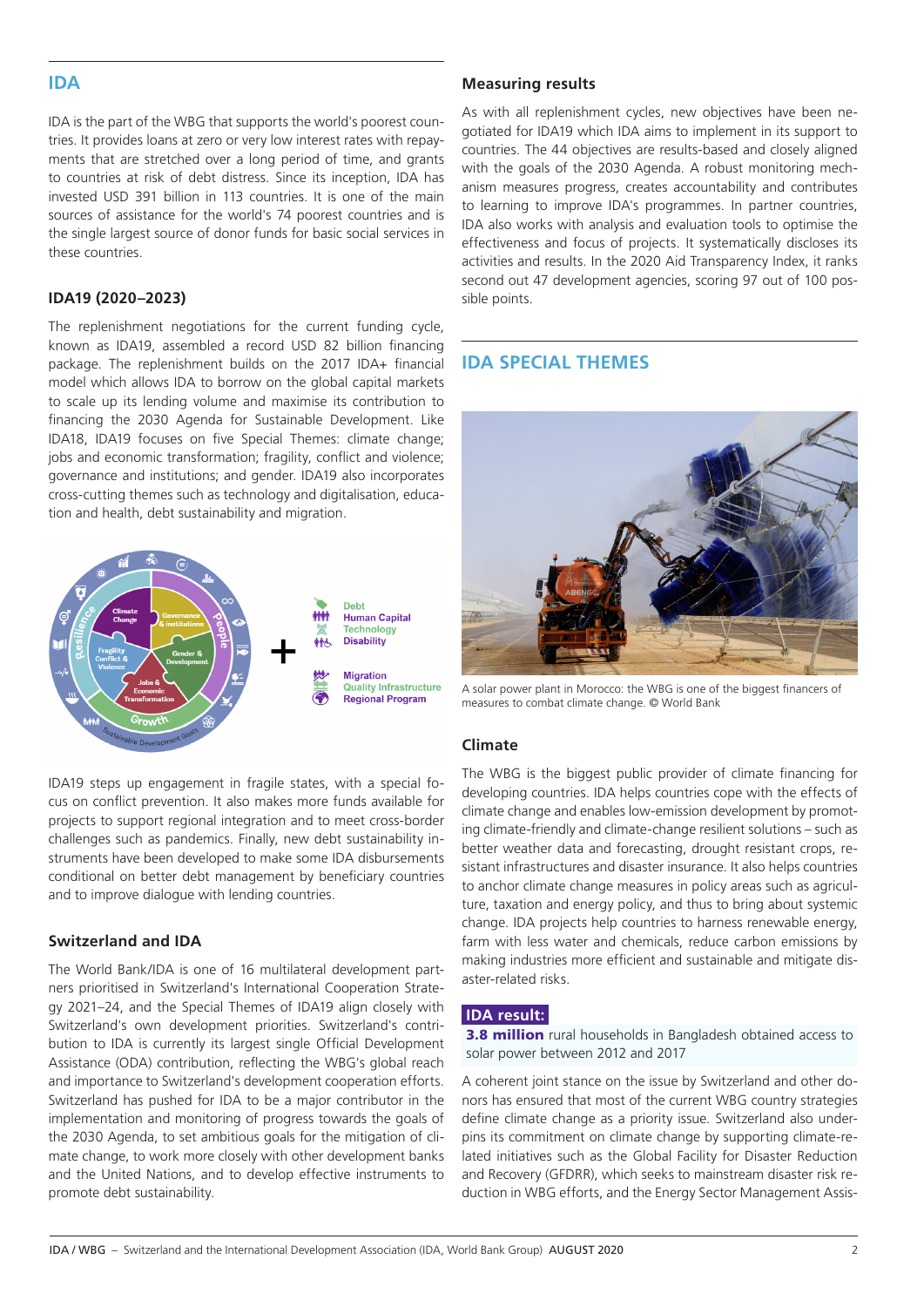# **IDA**

IDA is the part of the WBG that supports the world's poorest countries. It provides loans at zero or very low interest rates with repayments that are stretched over a long period of time, and grants to countries at risk of debt distress. Since its inception, IDA has invested USD 391 billion in 113 countries. It is one of the main sources of assistance for the world's 74 poorest countries and is the single largest source of donor funds for basic social services in these countries.

## **IDA19 (2020–2023)**

The replenishment negotiations for the current funding cycle, known as IDA19, assembled a record USD 82 billion financing package. The replenishment builds on the 2017 IDA+ financial model which allows IDA to borrow on the global capital markets to scale up its lending volume and maximise its contribution to financing the 2030 Agenda for Sustainable Development. Like IDA18, IDA19 focuses on five Special Themes: climate change; jobs and economic transformation; fragility, conflict and violence; governance and institutions; and gender. IDA19 also incorporates cross-cutting themes such as technology and digitalisation, education and health, debt sustainability and migration.



IDA19 steps up engagement in fragile states, with a special focus on conflict prevention. It also makes more funds available for projects to support regional integration and to meet cross-border challenges such as pandemics. Finally, new debt sustainability instruments have been developed to make some IDA disbursements conditional on better debt management by beneficiary countries and to improve dialogue with lending countries.

### **Switzerland and IDA**

The World Bank/IDA is one of 16 multilateral development partners prioritised in Switzerland's International Cooperation Strategy 2021–24, and the Special Themes of IDA19 align closely with Switzerland's own development priorities. Switzerland's contribution to IDA is currently its largest single Official Development Assistance (ODA) contribution, reflecting the WBG's global reach and importance to Switzerland's development cooperation efforts. Switzerland has pushed for IDA to be a major contributor in the implementation and monitoring of progress towards the goals of the 2030 Agenda, to set ambitious goals for the mitigation of climate change, to work more closely with other development banks and the United Nations, and to develop effective instruments to promote debt sustainability.

### **Measuring results**

As with all replenishment cycles, new objectives have been negotiated for IDA19 which IDA aims to implement in its support to countries. The 44 objectives are results-based and closely aligned with the goals of the 2030 Agenda. A robust monitoring mechanism measures progress, creates accountability and contributes to learning to improve IDA's programmes. In partner countries, IDA also works with analysis and evaluation tools to optimise the effectiveness and focus of projects. It systematically discloses its activities and results. In the 2020 Aid Transparency Index, it ranks second out 47 development agencies, scoring 97 out of 100 possible points.

# **IDA SPECIAL THEMES**



A solar power plant in Morocco: the WBG is one of the biggest financers of measures to combat climate change. © World Bank

### **Climate**

The WBG is the biggest public provider of climate financing for developing countries. IDA helps countries cope with the effects of climate change and enables low-emission development by promoting climate-friendly and climate-change resilient solutions – such as better weather data and forecasting, drought resistant crops, resistant infrastructures and disaster insurance. It also helps countries to anchor climate change measures in policy areas such as agriculture, taxation and energy policy, and thus to bring about systemic change. IDA projects help countries to harness renewable energy, farm with less water and chemicals, reduce carbon emissions by making industries more efficient and sustainable and mitigate disaster-related risks.

#### **IDA result:**

**3.8 million** rural households in Bangladesh obtained access to solar power between 2012 and 2017

A coherent joint stance on the issue by Switzerland and other donors has ensured that most of the current WBG country strategies define climate change as a priority issue. Switzerland also underpins its commitment on climate change by supporting climate-related initiatives such as the Global Facility for Disaster Reduction and Recovery (GFDRR), which seeks to mainstream disaster risk reduction in WBG efforts, and the Energy Sector Management Assis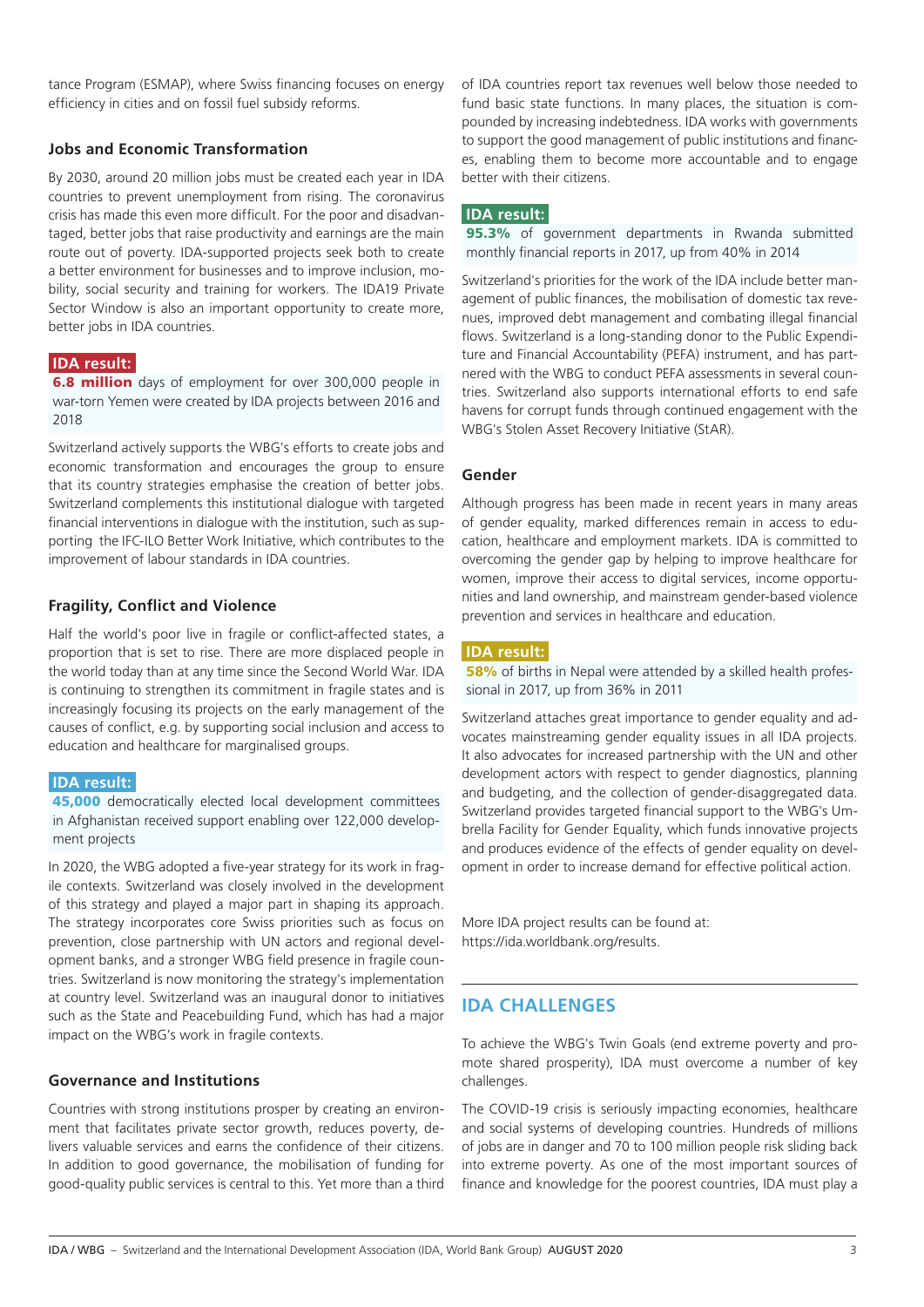tance Program (ESMAP), where Swiss financing focuses on energy efficiency in cities and on fossil fuel subsidy reforms.

# **Jobs and Economic Transformation**

By 2030, around 20 million jobs must be created each year in IDA countries to prevent unemployment from rising. The coronavirus crisis has made this even more difficult. For the poor and disadvantaged, better jobs that raise productivity and earnings are the main route out of poverty. IDA-supported projects seek both to create a better environment for businesses and to improve inclusion, mobility, social security and training for workers. The IDA19 Private Sector Window is also an important opportunity to create more, better jobs in IDA countries.

### **IDA result:**

**6.8 million** days of employment for over 300,000 people in war-torn Yemen were created by IDA projects between 2016 and 2018

Switzerland actively supports the WBG's efforts to create jobs and economic transformation and encourages the group to ensure that its country strategies emphasise the creation of better jobs. Switzerland complements this institutional dialogue with targeted financial interventions in dialogue with the institution, such as supporting the IFC-ILO Better Work Initiative, which contributes to the improvement of labour standards in IDA countries.

### **Fragility, Conflict and Violence**

Half the world's poor live in fragile or conflict-affected states, a proportion that is set to rise. There are more displaced people in the world today than at any time since the Second World War. IDA is continuing to strengthen its commitment in fragile states and is increasingly focusing its projects on the early management of the causes of conflict, e.g. by supporting social inclusion and access to education and healthcare for marginalised groups.

# **IDA result:**

45,000 democratically elected local development committees in Afghanistan received support enabling over 122,000 development projects

In 2020, the WBG adopted a five-year strategy for its work in fragile contexts. Switzerland was closely involved in the development of this strategy and played a major part in shaping its approach. The strategy incorporates core Swiss priorities such as focus on prevention, close partnership with UN actors and regional development banks, and a stronger WBG field presence in fragile countries. Switzerland is now monitoring the strategy's implementation at country level. Switzerland was an inaugural donor to initiatives such as the State and Peacebuilding Fund, which has had a major impact on the WBG's work in fragile contexts.

### **Governance and Institutions**

Countries with strong institutions prosper by creating an environment that facilitates private sector growth, reduces poverty, delivers valuable services and earns the confidence of their citizens. In addition to good governance, the mobilisation of funding for good-quality public services is central to this. Yet more than a third of IDA countries report tax revenues well below those needed to fund basic state functions. In many places, the situation is compounded by increasing indebtedness. IDA works with governments to support the good management of public institutions and finances, enabling them to become more accountable and to engage better with their citizens.

### **IDA result:**

95.3% of government departments in Rwanda submitted monthly financial reports in 2017, up from 40% in 2014

Switzerland's priorities for the work of the IDA include better management of public finances, the mobilisation of domestic tax revenues, improved debt management and combating illegal financial flows. Switzerland is a long-standing donor to the Public Expenditure and Financial Accountability (PEFA) instrument, and has partnered with the WBG to conduct PEFA assessments in several countries. Switzerland also supports international efforts to end safe havens for corrupt funds through continued engagement with the WBG's Stolen Asset Recovery Initiative (StAR).

### **Gender**

Although progress has been made in recent years in many areas of gender equality, marked differences remain in access to education, healthcare and employment markets. IDA is committed to overcoming the gender gap by helping to improve healthcare for women, improve their access to digital services, income opportunities and land ownership, and mainstream gender-based violence prevention and services in healthcare and education.

#### **IDA result:**

**58%** of births in Nepal were attended by a skilled health professional in 2017, up from 36% in 2011

Switzerland attaches great importance to gender equality and advocates mainstreaming gender equality issues in all IDA projects. It also advocates for increased partnership with the UN and other development actors with respect to gender diagnostics, planning and budgeting, and the collection of gender-disaggregated data. Switzerland provides targeted financial support to the WBG's Umbrella Facility for Gender Equality, which funds innovative projects and produces evidence of the effects of gender equality on development in order to increase demand for effective political action.

More IDA project results can be found at: https://ida.worldbank.org/results.

# **IDA CHALLENGES**

To achieve the WBG's Twin Goals (end extreme poverty and promote shared prosperity), IDA must overcome a number of key challenges.

The COVID-19 crisis is seriously impacting economies, healthcare and social systems of developing countries. Hundreds of millions of jobs are in danger and 70 to 100 million people risk sliding back into extreme poverty. As one of the most important sources of finance and knowledge for the poorest countries, IDA must play a